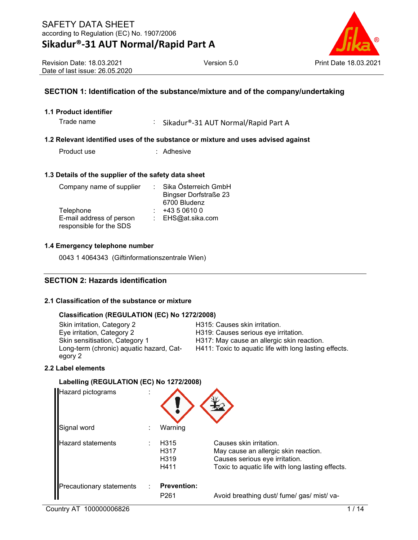## **Sikadur®-31 AUT Normal/Rapid Part A**



Revision Date: 18.03.2021 Date of last issue: 26.05.2020

#### **SECTION 1: Identification of the substance/mixture and of the company/undertaking**

#### **1.1 Product identifier**

Trade name : Sikadur®-31 AUT Normal/Rapid Part A

#### **1.2 Relevant identified uses of the substance or mixture and uses advised against**

Product use : Adhesive

#### **1.3 Details of the supplier of the safety data sheet**

| Company name of supplier | Sika Österreich GmbH         |
|--------------------------|------------------------------|
|                          | <b>Bingser Dorfstraße 23</b> |
|                          | 6700 Bludenz                 |
| Telephone                | +43 5 0610 0                 |
| E-mail address of person | : EHS@at.sika.com            |
| responsible for the SDS  |                              |

#### **1.4 Emergency telephone number**

0043 1 4064343 (Giftinformationszentrale Wien)

#### **SECTION 2: Hazards identification**

#### **2.1 Classification of the substance or mixture**

#### **Classification (REGULATION (EC) No 1272/2008)**

Skin irritation, Category 2 Fashion Category 2 H315: Causes skin irritation.<br>Eye irritation, Category 2 Fashion B19: Causes serious eye ir Eye irritation, Category 2 Fashion, Category 2 Fashion.<br>Skin sensitisation, Category 1 Fashion, Category 1 Fashion, H317: May cause an allergic skin really Long-term (chronic) aquatic hazard, Category 2

H317: May cause an allergic skin reaction. H411: Toxic to aquatic life with long lasting effects.

#### **2.2 Label elements**

#### **Labelling (REGULATION (EC) No 1272/2008)**

| <b>Hazard pictograms</b> |                                          |                                                                                                                                                       |
|--------------------------|------------------------------------------|-------------------------------------------------------------------------------------------------------------------------------------------------------|
| Signal word              | Warning                                  |                                                                                                                                                       |
| <b>Hazard statements</b> | H <sub>315</sub><br>H317<br>H319<br>H411 | Causes skin irritation.<br>May cause an allergic skin reaction.<br>Causes serious eye irritation.<br>Toxic to aquatic life with long lasting effects. |
| Precautionary statements | <b>Prevention:</b><br>P <sub>261</sub>   | Avoid breathing dust/ fume/ gas/ mist/ va-                                                                                                            |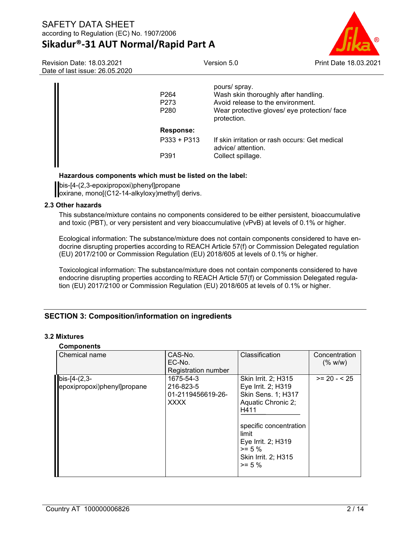## **Sikadur®-31 AUT Normal/Rapid Part A**



Revision Date: 18.03.2021 Date of last issue: 26.05.2020

| P <sub>264</sub><br>P <sub>273</sub><br>P <sub>280</sub> | pours/spray.<br>Wash skin thoroughly after handling.<br>Avoid release to the environment.<br>Wear protective gloves/ eye protection/ face<br>protection. |
|----------------------------------------------------------|----------------------------------------------------------------------------------------------------------------------------------------------------------|
| Response:                                                |                                                                                                                                                          |
| $P333 + P313$                                            | If skin irritation or rash occurs: Get medical<br>advice/ attention.                                                                                     |
| P391                                                     | Collect spillage.                                                                                                                                        |

#### **Hazardous components which must be listed on the label:**

bis-[4-(2,3-epoxipropoxi)phenyl]propane oxirane, mono[(C12-14-alkyloxy)methyl] derivs.

#### **2.3 Other hazards**

This substance/mixture contains no components considered to be either persistent, bioaccumulative and toxic (PBT), or very persistent and very bioaccumulative (vPvB) at levels of 0.1% or higher.

Ecological information: The substance/mixture does not contain components considered to have endocrine disrupting properties according to REACH Article 57(f) or Commission Delegated regulation (EU) 2017/2100 or Commission Regulation (EU) 2018/605 at levels of 0.1% or higher.

Toxicological information: The substance/mixture does not contain components considered to have endocrine disrupting properties according to REACH Article 57(f) or Commission Delegated regulation (EU) 2017/2100 or Commission Regulation (EU) 2018/605 at levels of 0.1% or higher.

#### **SECTION 3: Composition/information on ingredients**

#### **3.2 Mixtures**

## **Components**

| Chemical name                                 | CAS-No.<br>EC-No.<br>Registration number                   | Classification                                                                                                                                                                                          | Concentration<br>(% w/w) |
|-----------------------------------------------|------------------------------------------------------------|---------------------------------------------------------------------------------------------------------------------------------------------------------------------------------------------------------|--------------------------|
| $bis-[4-(2,3-$<br>epoxipropoxi)phenyl]propane | 1675-54-3<br>216-823-5<br>01-2119456619-26-<br><b>XXXX</b> | Skin Irrit. 2; H315<br>Eye Irrit. 2; H319<br>Skin Sens. 1; H317<br>Aquatic Chronic 2;<br>H411<br>specific concentration<br>limit<br>Eye Irrit. 2; H319<br>$>= 5 \%$<br>Skin Irrit. 2; H315<br>$>= 5 \%$ | $>= 20 - 25$             |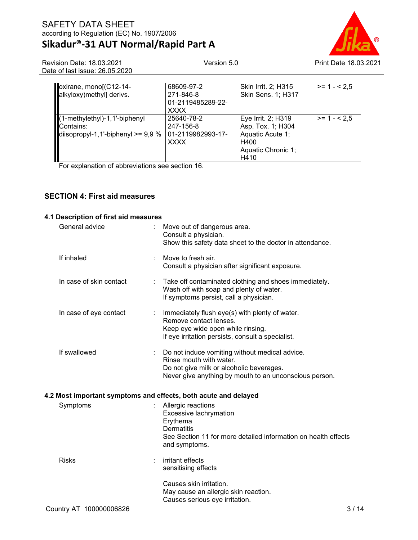### SAFETY DATA SHEET according to Regulation (EC) No. 1907/2006 **Sikadur®-31 AUT Normal/Rapid Part A**



| Revision Date: 18.03.2021      |
|--------------------------------|
| Date of last issue: 26.05.2020 |

| oxirane, mono[(C12-14-<br>alkyloxy)methyl] derivs.                                 | 68609-97-2<br>271-846-8<br>01-2119485289-22-<br><b>XXXX</b> | Skin Irrit. 2; H315<br><b>Skin Sens. 1; H317</b>                                                  | $>= 1 - 2.5$ |
|------------------------------------------------------------------------------------|-------------------------------------------------------------|---------------------------------------------------------------------------------------------------|--------------|
| (1-methylethyl)-1,1'-biphenyl<br>Contains:<br>diisopropyl-1,1'-biphenyl $>= 9.9 %$ | 25640-78-2<br>247-156-8<br>01-2119982993-17-<br><b>XXXX</b> | Eye Irrit. 2; H319<br>Asp. Tox. 1; H304<br>Aquatic Acute 1;<br>H400<br>Aquatic Chronic 1;<br>H410 | $>= 1 - 2.5$ |

For explanation of abbreviations see section 16.

#### **SECTION 4: First aid measures**

#### **4.1 Description of first aid measures**

| General advice                                                  |   | Move out of dangerous area.<br>Consult a physician.<br>Show this safety data sheet to the doctor in attendance.                                                                 |
|-----------------------------------------------------------------|---|---------------------------------------------------------------------------------------------------------------------------------------------------------------------------------|
| If inhaled                                                      | ÷ | Move to fresh air.<br>Consult a physician after significant exposure.                                                                                                           |
| In case of skin contact                                         |   | Take off contaminated clothing and shoes immediately.<br>Wash off with soap and plenty of water.<br>If symptoms persist, call a physician.                                      |
| In case of eye contact                                          |   | Immediately flush eye(s) with plenty of water.<br>Remove contact lenses.<br>Keep eye wide open while rinsing.<br>If eye irritation persists, consult a specialist.              |
| If swallowed                                                    |   | Do not induce vomiting without medical advice.<br>Rinse mouth with water.<br>Do not give milk or alcoholic beverages.<br>Never give anything by mouth to an unconscious person. |
| 4.2 Most important symptoms and effects, both acute and delayed |   |                                                                                                                                                                                 |
| Symptoms                                                        |   | Allergic reactions<br>Excessive lachrymation<br>Erythema<br><b>Dermatitis</b><br>See Section 11 for more detailed information on health effects<br>and symptoms.                |
| <b>Risks</b>                                                    |   | irritant effects<br>sensitising effects<br>Causes skin irritation.<br>May cause an allergic skin reaction.<br>Causes serious eye irritation.                                    |
| Country AT 100000006826                                         |   | 3/14                                                                                                                                                                            |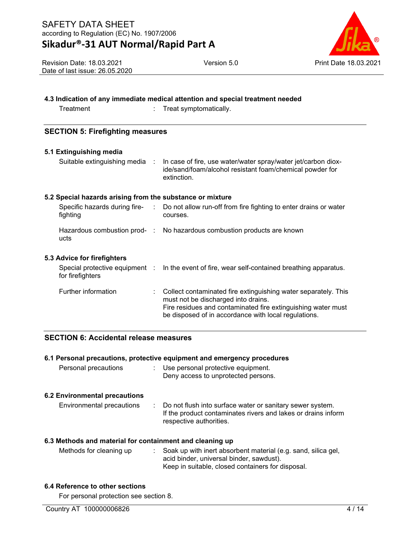## **Sikadur®-31 AUT Normal/Rapid Part A**



Revision Date: 18.03.2021 Date of last issue: 26.05.2020

| 4.3 Indication of any immediate medical attention and special treatment needed |
|--------------------------------------------------------------------------------|
|--------------------------------------------------------------------------------|

Treatment : Treat symptomatically.

#### **SECTION 5: Firefighting measures**

| 5.1 Extinguishing media<br>Suitable extinguishing media : | In case of fire, use water/water spray/water jet/carbon diox-<br>ide/sand/foam/alcohol resistant foam/chemical powder for<br>extinction.                                                                                      |
|-----------------------------------------------------------|-------------------------------------------------------------------------------------------------------------------------------------------------------------------------------------------------------------------------------|
| 5.2 Special hazards arising from the substance or mixture |                                                                                                                                                                                                                               |
| fighting                                                  | Specific hazards during fire- : Do not allow run-off from fire fighting to enter drains or water<br>courses.                                                                                                                  |
| ucts                                                      | Hazardous combustion prod- : No hazardous combustion products are known                                                                                                                                                       |
| 5.3 Advice for firefighters                               |                                                                                                                                                                                                                               |
| Special protective equipment :<br>for firefighters        | In the event of fire, wear self-contained breathing apparatus.                                                                                                                                                                |
| Further information                                       | Collect contaminated fire extinguishing water separately. This<br>must not be discharged into drains.<br>Fire residues and contaminated fire extinguishing water must<br>be disposed of in accordance with local regulations. |

#### **SECTION 6: Accidental release measures**

| Personal precautions                                     | 6.1 Personal precautions, protective equipment and emergency procedures<br>$\therefore$ Use personal protective equipment.<br>Deny access to unprotected persons. |
|----------------------------------------------------------|-------------------------------------------------------------------------------------------------------------------------------------------------------------------|
| 6.2 Environmental precautions                            |                                                                                                                                                                   |
| Environmental precautions                                | : Do not flush into surface water or sanitary sewer system.<br>If the product contaminates rivers and lakes or drains inform<br>respective authorities.           |
| 6.3 Methods and material for containment and cleaning up |                                                                                                                                                                   |
| Methods for cleaning up                                  | Soak up with inert absorbent material (e.g. sand, silica gel,<br>acid binder, universal binder, sawdust).<br>Keep in suitable, closed containers for disposal.    |
| 6.4 Reference to other sections                          |                                                                                                                                                                   |

For personal protection see section 8.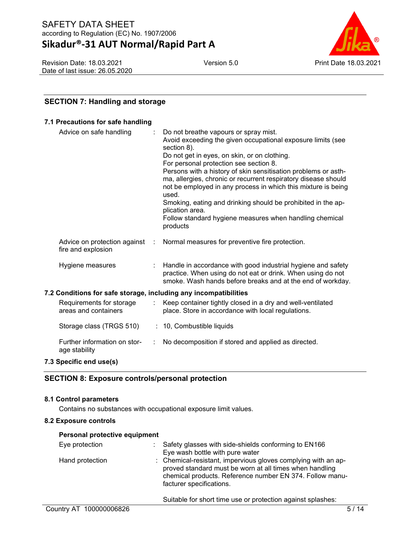## **Sikadur®-31 AUT Normal/Rapid Part A**

Revision Date: 18.03.2021 Date of last issue: 26.05.2020



#### **SECTION 7: Handling and storage**

#### **7.1 Precautions for safe handling**

| Advice on safe handling                                          | Do not breathe vapours or spray mist.                                                                                                                                                                      |
|------------------------------------------------------------------|------------------------------------------------------------------------------------------------------------------------------------------------------------------------------------------------------------|
|                                                                  | Avoid exceeding the given occupational exposure limits (see                                                                                                                                                |
|                                                                  | section 8).<br>Do not get in eyes, on skin, or on clothing.                                                                                                                                                |
|                                                                  | For personal protection see section 8.                                                                                                                                                                     |
|                                                                  | Persons with a history of skin sensitisation problems or asth-<br>ma, allergies, chronic or recurrent respiratory disease should<br>not be employed in any process in which this mixture is being<br>used. |
|                                                                  | Smoking, eating and drinking should be prohibited in the ap-                                                                                                                                               |
|                                                                  | plication area.                                                                                                                                                                                            |
|                                                                  | Follow standard hygiene measures when handling chemical<br>products                                                                                                                                        |
| Advice on protection against :<br>fire and explosion             | Normal measures for preventive fire protection.                                                                                                                                                            |
| Hygiene measures                                                 | Handle in accordance with good industrial hygiene and safety<br>practice. When using do not eat or drink. When using do not<br>smoke. Wash hands before breaks and at the end of workday.                  |
| 7.2 Conditions for safe storage, including any incompatibilities |                                                                                                                                                                                                            |
| Requirements for storage<br>areas and containers                 | Keep container tightly closed in a dry and well-ventilated<br>place. Store in accordance with local regulations.                                                                                           |
| Storage class (TRGS 510)                                         | : 10, Combustible liquids                                                                                                                                                                                  |
| Further information on stor-<br>age stability                    | No decomposition if stored and applied as directed.                                                                                                                                                        |
| 7.3 Specific end use(s)                                          |                                                                                                                                                                                                            |
|                                                                  |                                                                                                                                                                                                            |

#### **SECTION 8: Exposure controls/personal protection**

#### **8.1 Control parameters**

Contains no substances with occupational exposure limit values.

#### **8.2 Exposure controls**

| Personal protective equipment |                                                                                                                                                                                                                  |
|-------------------------------|------------------------------------------------------------------------------------------------------------------------------------------------------------------------------------------------------------------|
| Eye protection                | Safety glasses with side-shields conforming to EN166<br>Eye wash bottle with pure water                                                                                                                          |
| Hand protection               | : Chemical-resistant, impervious gloves complying with an ap-<br>proved standard must be worn at all times when handling<br>chemical products. Reference number EN 374. Follow manu-<br>facturer specifications. |
|                               |                                                                                                                                                                                                                  |

Suitable for short time use or protection against splashes: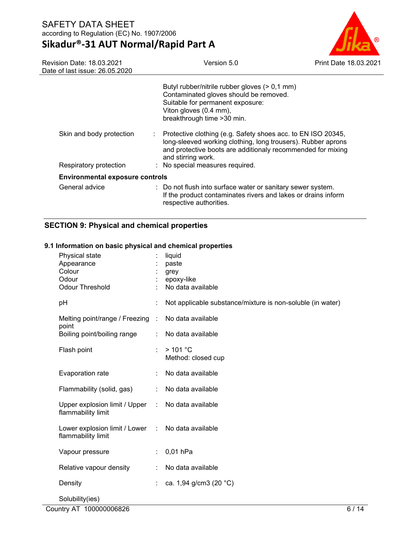### **Sikadur®-31 AUT Normal/Rapid Part A**



| <b>Revision Date: 18.03.2021</b><br>Date of last issue: 26.05.2020 | Version 5.0                                                                                                                                                                                                                                          | Print Date 18.03 |
|--------------------------------------------------------------------|------------------------------------------------------------------------------------------------------------------------------------------------------------------------------------------------------------------------------------------------------|------------------|
|                                                                    | Butyl rubber/nitrile rubber gloves (> 0,1 mm)<br>Contaminated gloves should be removed.<br>Suitable for permanent exposure:<br>Viton gloves (0.4 mm),<br>breakthrough time > 30 min.                                                                 |                  |
| Skin and body protection<br>Respiratory protection                 | Protective clothing (e.g. Safety shoes acc. to EN ISO 20345,<br>long-sleeved working clothing, long trousers). Rubber aprons<br>and protective boots are additionaly recommended for mixing<br>and stirring work.<br>: No special measures required. |                  |
| <b>Environmental exposure controls</b>                             |                                                                                                                                                                                                                                                      |                  |
| General advice                                                     | : Do not flush into surface water or sanitary sewer system.<br>If the product contaminates rivers and lakes or drains inform<br>respective authorities.                                                                                              |                  |

#### **SECTION 9: Physical and chemical properties**

## Physical state : liquid Appearance : paste Colour : grey Odour : epoxy-like : No data available pH  $\qquad \qquad \vdots \qquad \text{Not applicable substance/mixture is non-soluble (in water)}$ Melting point/range / Freezing : point No data available Boiling point/boiling range : No data available Flash point : > 101 °C Method: closed cup Evaporation rate : No data available Flammability (solid, gas) : No data available Upper explosion limit / Upper : No data available flammability limit Lower explosion limit / Lower : flammability limit No data available Vapour pressure : 0,01 hPa Relative vapour density : No data available Density : ca. 1,94 g/cm3 (20 °C) Solubility(ies)

#### **9.1 Information on basic physical and chemical properties**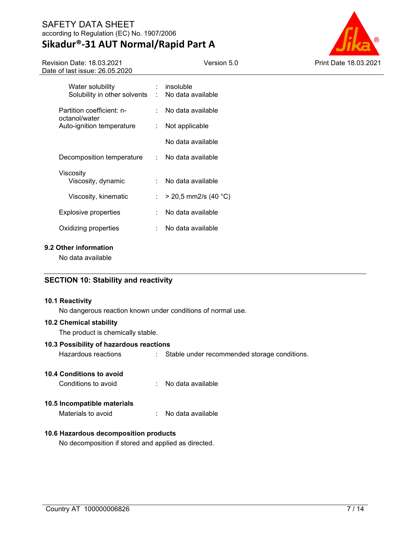# **Sikadur®-31 AUT Normal/Rapid Part A**

Version 5.0 Print Date 18.03.2021

Revision Date: 18.03.2021 Date of last issue: 26.05.2020

| Water solubility<br>Solubility in other solvents | t.  | insoluble<br>No data available |
|--------------------------------------------------|-----|--------------------------------|
| Partition coefficient: n-                        |     | No data available<br>× 1       |
| octanol/water<br>Auto-ignition temperature       | t.  | Not applicable                 |
|                                                  |     | No data available              |
| Decomposition temperature                        |     | $\therefore$ No data available |
| Viscositv<br>Viscosity, dynamic                  | × 1 | No data available              |
| Viscosity, kinematic                             | t.  | $>$ 20,5 mm2/s (40 °C)         |
| Explosive properties                             |     | No data available              |
| Oxidizing properties                             | ٠   | No data available              |

#### **9.2 Other information**

No data available

#### **SECTION 10: Stability and reactivity**

#### **10.1 Reactivity**

No dangerous reaction known under conditions of normal use.

#### **10.2 Chemical stability**

The product is chemically stable.

#### **10.3 Possibility of hazardous reactions**

Hazardous reactions : Stable under recommended storage conditions.

#### **10.4 Conditions to avoid**

| Conditions to avoid |  | No data available |
|---------------------|--|-------------------|
|---------------------|--|-------------------|

#### **10.5 Incompatible materials**

Materials to avoid : No data available

#### **10.6 Hazardous decomposition products**

No decomposition if stored and applied as directed.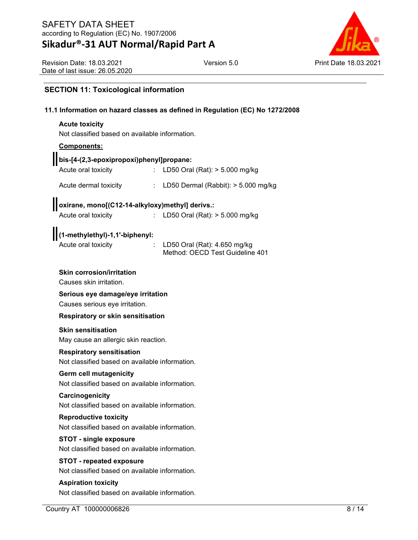## **Sikadur®-31 AUT Normal/Rapid Part A**



Revision Date: 18.03.2021 Date of last issue: 26.05.2020

#### **SECTION 11: Toxicological information**

#### **11.1 Information on hazard classes as defined in Regulation (EC) No 1272/2008**

## **Acute toxicity** Not classified based on available information. **Components: bis-[4-(2,3-epoxipropoxi)phenyl]propane:** Acute oral toxicity : LD50 Oral (Rat): > 5.000 mg/kg Acute dermal toxicity : LD50 Dermal (Rabbit): > 5.000 mg/kg **oxirane, mono[(C12-14-alkyloxy)methyl] derivs.:** Acute oral toxicity : LD50 Oral (Rat): > 5.000 mg/kg **(1-methylethyl)-1,1'-biphenyl:** Acute oral toxicity : LD50 Oral (Rat): 4.650 mg/kg Method: OECD Test Guideline 401 **Skin corrosion/irritation** Causes skin irritation. **Serious eye damage/eye irritation** Causes serious eye irritation. **Respiratory or skin sensitisation Skin sensitisation** May cause an allergic skin reaction. **Respiratory sensitisation** Not classified based on available information. **Germ cell mutagenicity** Not classified based on available information. **Carcinogenicity** Not classified based on available information. **Reproductive toxicity** Not classified based on available information. **STOT - single exposure** Not classified based on available information. **STOT - repeated exposure** Not classified based on available information. **Aspiration toxicity**

Not classified based on available information.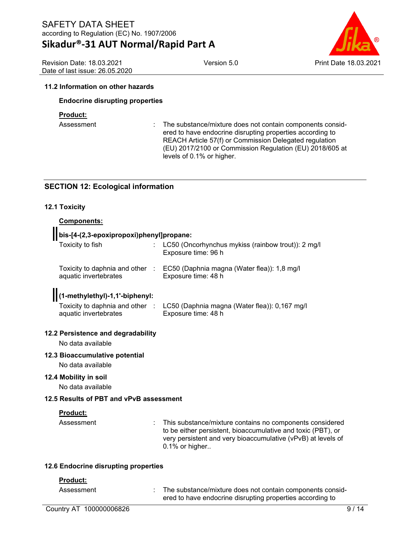## **Sikadur®-31 AUT Normal/Rapid Part A**

Version 5.0 Print Date 18.03.2021

Revision Date: 18.03.2021 Date of last issue: 26.05.2020

#### **11.2 Information on other hazards**

#### **Endocrine disrupting properties**

#### **Product:**

Assessment : The substance/mixture does not contain components considered to have endocrine disrupting properties according to REACH Article 57(f) or Commission Delegated regulation (EU) 2017/2100 or Commission Regulation (EU) 2018/605 at levels of 0.1% or higher.

#### **SECTION 12: Ecological information**

#### **12.1 Toxicity**

#### **Components:**

#### **bis-[4-(2,3-epoxipropoxi)phenyl]propane:**

| Toxicity to fish                                         | LC50 (Oncorhynchus mykiss (rainbow trout)): 2 mg/l<br>Exposure time: 96 h                            |
|----------------------------------------------------------|------------------------------------------------------------------------------------------------------|
| Toxicity to daphnia and other :<br>aquatic invertebrates | EC50 (Daphnia magna (Water flea)): 1,8 mg/l<br>Exposure time: 48 h                                   |
| [(1-methylethyl)-1,1'-biphenyl:<br>aquatic invertebrates | Toxicity to daphnia and other : LC50 (Daphnia magna (Water flea)): 0,167 mg/l<br>Exposure time: 48 h |
| 12.2 Persistence and degradability<br>No data available  |                                                                                                      |
| 12.3 Bioaccumulative potential<br>.                      |                                                                                                      |

No data available

#### **12.4 Mobility in soil**

No data available

#### **12.5 Results of PBT and vPvB assessment**

#### **Product:**

Assessment **Example 2.1** This substance/mixture contains no components considered to be either persistent, bioaccumulative and toxic (PBT), or very persistent and very bioaccumulative (vPvB) at levels of 0.1% or higher..

#### **12.6 Endocrine disrupting properties**

#### **Product:**

Assessment : The substance/mixture does not contain components considered to have endocrine disrupting properties according to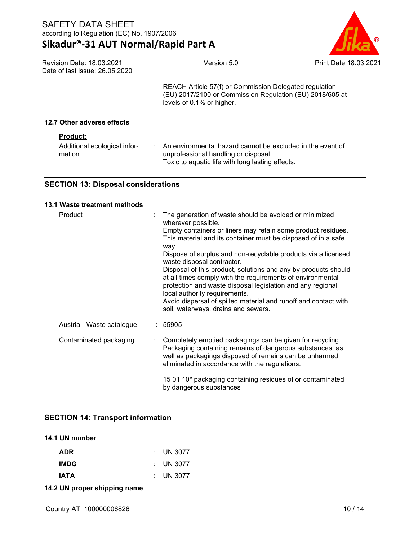## **Sikadur®-31 AUT Normal/Rapid Part A**



| Date of last issue: 26.05.2020                            |                                                                                                                                                        |  |
|-----------------------------------------------------------|--------------------------------------------------------------------------------------------------------------------------------------------------------|--|
|                                                           | REACH Article 57(f) or Commission Delegated regulation<br>(EU) 2017/2100 or Commission Regulation (EU) 2018/605 at<br>levels of 0.1% or higher.        |  |
| 12.7 Other adverse effects                                |                                                                                                                                                        |  |
| <b>Product:</b><br>Additional ecological infor-<br>mation | An environmental hazard cannot be excluded in the event of<br>unprofessional handling or disposal.<br>Toxic to aquatic life with long lasting effects. |  |

### **SECTION 13: Disposal considerations**

#### **13.1 Waste treatment methods**

Revision Date: 18.03.2021

| Product                   | The generation of waste should be avoided or minimized<br>wherever possible.<br>Empty containers or liners may retain some product residues.<br>This material and its container must be disposed of in a safe<br>way.<br>Dispose of surplus and non-recyclable products via a licensed<br>waste disposal contractor.<br>Disposal of this product, solutions and any by-products should<br>at all times comply with the requirements of environmental<br>protection and waste disposal legislation and any regional<br>local authority requirements.<br>Avoid dispersal of spilled material and runoff and contact with<br>soil, waterways, drains and sewers. |
|---------------------------|---------------------------------------------------------------------------------------------------------------------------------------------------------------------------------------------------------------------------------------------------------------------------------------------------------------------------------------------------------------------------------------------------------------------------------------------------------------------------------------------------------------------------------------------------------------------------------------------------------------------------------------------------------------|
| Austria - Waste catalogue | : 55905                                                                                                                                                                                                                                                                                                                                                                                                                                                                                                                                                                                                                                                       |
| Contaminated packaging    | Completely emptied packagings can be given for recycling.<br>Packaging containing remains of dangerous substances, as<br>well as packagings disposed of remains can be unharmed<br>eliminated in accordance with the regulations.                                                                                                                                                                                                                                                                                                                                                                                                                             |
|                           | 15 01 10* packaging containing residues of or contaminated<br>by dangerous substances                                                                                                                                                                                                                                                                                                                                                                                                                                                                                                                                                                         |

### **SECTION 14: Transport information**

#### **14.1 UN number**

| : UN 3077 |
|-----------|
| : UN 3077 |
| : UN 3077 |
|           |

**14.2 UN proper shipping name**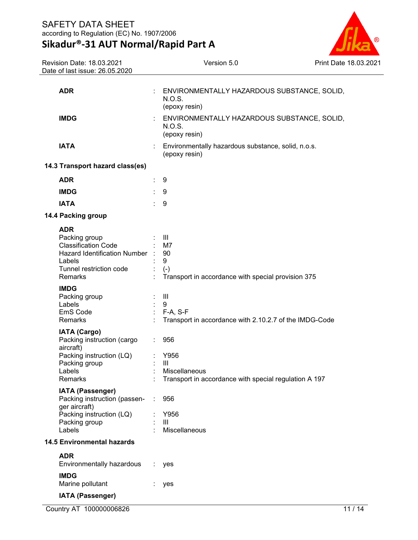**Sikadur®-31 AUT Normal/Rapid Part A**



| Revision Date: 18.03.2021<br>Date of last issue: 26.05.2020                                                                        | Version 5.0                                                                                    | <b>Print Date 18.03.2</b> |
|------------------------------------------------------------------------------------------------------------------------------------|------------------------------------------------------------------------------------------------|---------------------------|
|                                                                                                                                    |                                                                                                |                           |
| <b>ADR</b>                                                                                                                         | ENVIRONMENTALLY HAZARDOUS SUBSTANCE, SOLID,<br>N.O.S.<br>(epoxy resin)                         |                           |
| <b>IMDG</b>                                                                                                                        | ENVIRONMENTALLY HAZARDOUS SUBSTANCE, SOLID,<br>N.O.S.<br>(epoxy resin)                         |                           |
| <b>IATA</b>                                                                                                                        | Environmentally hazardous substance, solid, n.o.s.<br>(epoxy resin)                            |                           |
| 14.3 Transport hazard class(es)                                                                                                    |                                                                                                |                           |
| <b>ADR</b>                                                                                                                         | 9<br>÷                                                                                         |                           |
| <b>IMDG</b>                                                                                                                        | 9                                                                                              |                           |
| <b>IATA</b>                                                                                                                        | 9                                                                                              |                           |
| 14.4 Packing group                                                                                                                 |                                                                                                |                           |
| <b>ADR</b>                                                                                                                         |                                                                                                |                           |
| Packing group<br><b>Classification Code</b><br><b>Hazard Identification Number</b><br>Labels<br>Tunnel restriction code<br>Remarks | $\mathbf{III}$<br>M7<br>90<br>9<br>$(-)$<br>Transport in accordance with special provision 375 |                           |
| <b>IMDG</b><br>Packing group<br>Labels<br>EmS Code<br>Remarks                                                                      | Ш<br>9<br>$F-A, S-F$<br>Transport in accordance with 2.10.2.7 of the IMDG-Code                 |                           |
| <b>IATA (Cargo)</b><br>Packing instruction (cargo<br>aircraft)<br>Packing instruction (LQ)<br>Packing group<br>Labels<br>Remarks   | 956<br>Y956<br>Ш<br>Miscellaneous<br>Transport in accordance with special regulation A 197     |                           |
| IATA (Passenger)<br>Packing instruction (passen-<br>ger aircraft)<br>Packing instruction (LQ)<br>Packing group<br>Labels           | 956<br>÷<br>Y956<br>Ш<br>Miscellaneous                                                         |                           |
| <b>14.5 Environmental hazards</b>                                                                                                  |                                                                                                |                           |
| <b>ADR</b><br>Environmentally hazardous                                                                                            | yes                                                                                            |                           |
| <b>IMDG</b><br>Marine pollutant                                                                                                    | yes                                                                                            |                           |
| IATA (Passenger)                                                                                                                   |                                                                                                |                           |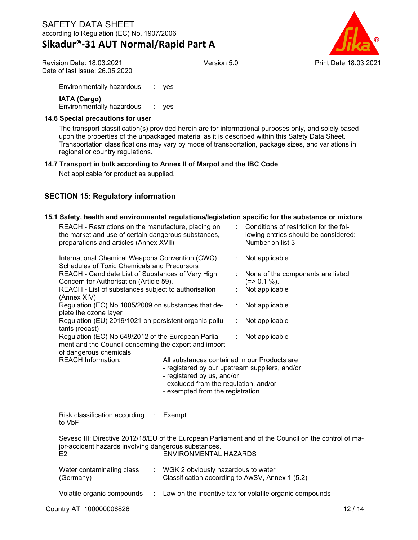## **Sikadur®-31 AUT Normal/Rapid Part A**

Version 5.0 Print Date 18.03.2021

Revision Date: 18.03.2021 Date of last issue: 26.05.2020

Environmentally hazardous : yes

**IATA (Cargo)** Environmentally hazardous : yes

#### **14.6 Special precautions for user**

The transport classification(s) provided herein are for informational purposes only, and solely based upon the properties of the unpackaged material as it is described within this Safety Data Sheet. Transportation classifications may vary by mode of transportation, package sizes, and variations in regional or country regulations.

#### **14.7 Transport in bulk according to Annex II of Marpol and the IBC Code**

Not applicable for product as supplied.

#### **SECTION 15: Regulatory information**

#### **15.1 Safety, health and environmental regulations/legislation specific for the substance or mixture**

| REACH - Restrictions on the manufacture, placing on<br>the market and use of certain dangerous substances,<br>preparations and articles (Annex XVII)                                                                                     |                                                                                       |   | Conditions of restriction for the fol-<br>lowing entries should be considered:<br>Number on list 3 |
|------------------------------------------------------------------------------------------------------------------------------------------------------------------------------------------------------------------------------------------|---------------------------------------------------------------------------------------|---|----------------------------------------------------------------------------------------------------|
| International Chemical Weapons Convention (CWC)<br><b>Schedules of Toxic Chemicals and Precursors</b>                                                                                                                                    |                                                                                       | t | Not applicable                                                                                     |
| REACH - Candidate List of Substances of Very High                                                                                                                                                                                        |                                                                                       |   | None of the components are listed                                                                  |
| Concern for Authorisation (Article 59).                                                                                                                                                                                                  |                                                                                       |   | $(=>0.1\%).$                                                                                       |
| REACH - List of substances subject to authorisation<br>(Annex XIV)                                                                                                                                                                       |                                                                                       |   | Not applicable                                                                                     |
| Regulation (EC) No 1005/2009 on substances that de-                                                                                                                                                                                      |                                                                                       |   | Not applicable                                                                                     |
| plete the ozone layer                                                                                                                                                                                                                    |                                                                                       |   |                                                                                                    |
| Regulation (EU) 2019/1021 on persistent organic pollu-                                                                                                                                                                                   |                                                                                       | ÷ | Not applicable                                                                                     |
| tants (recast)                                                                                                                                                                                                                           |                                                                                       |   |                                                                                                    |
| Regulation (EC) No 649/2012 of the European Parlia-                                                                                                                                                                                      |                                                                                       | ÷ | Not applicable                                                                                     |
| ment and the Council concerning the export and import                                                                                                                                                                                    |                                                                                       |   |                                                                                                    |
| of dangerous chemicals                                                                                                                                                                                                                   |                                                                                       |   |                                                                                                    |
| <b>REACH Information:</b><br>All substances contained in our Products are<br>- registered by our upstream suppliers, and/or<br>- registered by us, and/or<br>- excluded from the regulation, and/or<br>- exempted from the registration. |                                                                                       |   |                                                                                                    |
| Risk classification according :<br>to VbF                                                                                                                                                                                                | Exempt                                                                                |   |                                                                                                    |
| Seveso III: Directive 2012/18/EU of the European Parliament and of the Council on the control of ma-<br>jor-accident hazards involving dangerous substances.<br><b>ENVIRONMENTAL HAZARDS</b><br>E2                                       |                                                                                       |   |                                                                                                    |
| Water contaminating class<br>÷.<br>(Germany)                                                                                                                                                                                             | WGK 2 obviously hazardous to water<br>Classification according to AwSV, Annex 1 (5.2) |   |                                                                                                    |
| Volatile organic compounds                                                                                                                                                                                                               |                                                                                       |   | : Law on the incentive tax for volatile organic compounds                                          |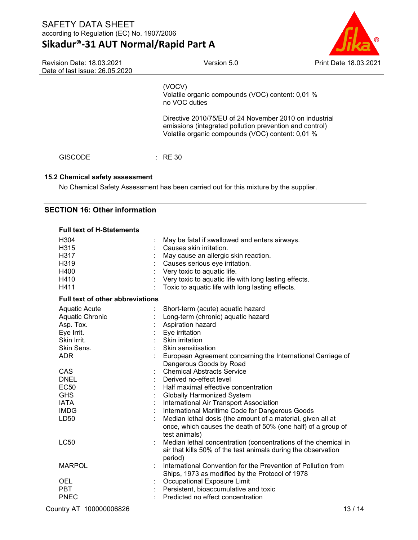## **Sikadur®-31 AUT Normal/Rapid Part A**

Version 5.0 Print Date 18.03.2021

Revision Date: 18.03.2021 Date of last issue: 26.05.2020

(VOCV) Volatile organic compounds (VOC) content: 0,01 % no VOC duties

Directive 2010/75/EU of 24 November 2010 on industrial emissions (integrated pollution prevention and control) Volatile organic compounds (VOC) content: 0,01 %

GISCODE : RE 30

#### **15.2 Chemical safety assessment**

No Chemical Safety Assessment has been carried out for this mixture by the supplier.

#### **SECTION 16: Other information**

| <b>Full text of H-Statements</b>        |                                                                |
|-----------------------------------------|----------------------------------------------------------------|
| H304                                    | May be fatal if swallowed and enters airways.                  |
| H315                                    | Causes skin irritation.                                        |
| H317                                    | May cause an allergic skin reaction.                           |
| H319                                    | Causes serious eye irritation.                                 |
| H400                                    | Very toxic to aquatic life.                                    |
| H410                                    | Very toxic to aquatic life with long lasting effects.          |
| H411                                    | Toxic to aquatic life with long lasting effects.               |
| <b>Full text of other abbreviations</b> |                                                                |
| <b>Aquatic Acute</b>                    | Short-term (acute) aquatic hazard                              |
| Aquatic Chronic                         | Long-term (chronic) aquatic hazard                             |
| Asp. Tox.                               | Aspiration hazard                                              |
| Eye Irrit.                              | Eye irritation                                                 |
| Skin Irrit.                             | Skin irritation                                                |
| Skin Sens.                              | Skin sensitisation                                             |
| <b>ADR</b>                              | European Agreement concerning the International Carriage of    |
|                                         | Dangerous Goods by Road                                        |
| CAS                                     | <b>Chemical Abstracts Service</b>                              |
| DNEL                                    | Derived no-effect level                                        |
| <b>EC50</b>                             | Half maximal effective concentration                           |
| <b>GHS</b>                              | <b>Globally Harmonized System</b>                              |
| <b>IATA</b>                             | International Air Transport Association                        |
| <b>IMDG</b>                             | International Maritime Code for Dangerous Goods                |
| LD50                                    | Median lethal dosis (the amount of a material, given all at    |
|                                         | once, which causes the death of 50% (one half) of a group of   |
|                                         | test animals)                                                  |
| <b>LC50</b>                             | Median lethal concentration (concentrations of the chemical in |
|                                         | air that kills 50% of the test animals during the observation  |
|                                         | period)                                                        |
| <b>MARPOL</b>                           | International Convention for the Prevention of Pollution from  |
|                                         | Ships, 1973 as modified by the Protocol of 1978                |
| <b>OEL</b>                              | Occupational Exposure Limit                                    |
| <b>PBT</b>                              | Persistent, bioaccumulative and toxic                          |
| <b>PNEC</b>                             | Predicted no effect concentration                              |